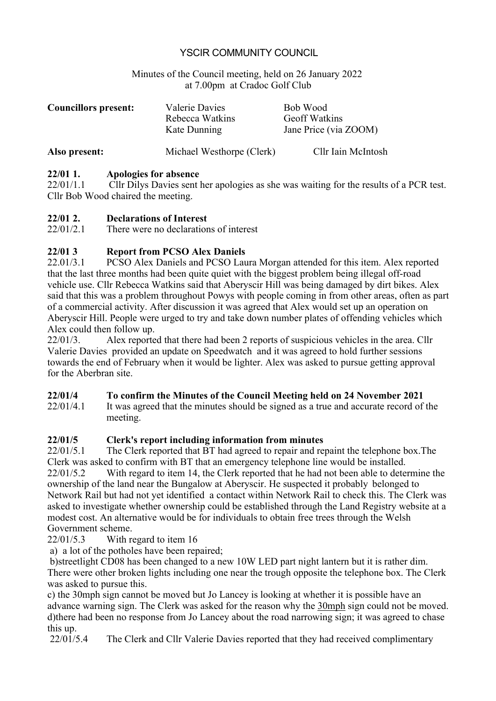## YSCIR COMMUNITY COUNCIL

#### Minutes of the Council meeting, held on 26 January 2022 at 7.00pm at Cradoc Golf Club

| <b>Councillors present:</b> | Valerie Davies<br>Rebecca Watkins<br>Kate Dunning | Bob Wood<br><b>Geoff Watkins</b><br>Jane Price (via ZOOM) |
|-----------------------------|---------------------------------------------------|-----------------------------------------------------------|
| Also present:               | Michael Westhorpe (Clerk)                         | Cllr Iain McIntosh                                        |

#### **22/01 1. Apologies for absence**

22/01/1.1 Cllr Dilys Davies sent her apologies as she was waiting for the results of a PCR test. Cllr Bob Wood chaired the meeting.

#### **22/01 2. Declarations of Interest**

22/01/2.1 There were no declarations of interest

#### **22/01 3 Report from PCSO Alex Daniels**

22.01/3.1 PCSO Alex Daniels and PCSO Laura Morgan attended for this item. Alex reported that the last three months had been quite quiet with the biggest problem being illegal off-road vehicle use. Cllr Rebecca Watkins said that Aberyscir Hill was being damaged by dirt bikes. Alex said that this was a problem throughout Powys with people coming in from other areas, often as part of a commercial activity. After discussion it was agreed that Alex would set up an operation on Aberyscir Hill. People were urged to try and take down number plates of offending vehicles which Alex could then follow up.

22/01/3. Alex reported that there had been 2 reports of suspicious vehicles in the area. Cllr Valerie Davies provided an update on Speedwatch and it was agreed to hold further sessions towards the end of February when it would be lighter. Alex was asked to pursue getting approval for the Aberbran site.

#### **22/01/4 To confirm the Minutes of the Council Meeting held on 24 November 2021**

22/01/4.1 It was agreed that the minutes should be signed as a true and accurate record of the meeting.

## **22/01/5 Clerk's report including information from minutes**

22/01/5.1 The Clerk reported that BT had agreed to repair and repaint the telephone box.The Clerk was asked to confirm with BT that an emergency telephone line would be installed. 22/01/5.2 With regard to item 14, the Clerk reported that he had not been able to determine the ownership of the land near the Bungalow at Aberyscir. He suspected it probably belonged to Network Rail but had not yet identified a contact within Network Rail to check this. The Clerk was asked to investigate whether ownership could be established through the Land Registry website at a modest cost. An alternative would be for individuals to obtain free trees through the Welsh Government scheme.

22/01/5.3 With regard to item 16

a) a lot of the potholes have been repaired;

 b)streetlight CD08 has been changed to a new 10W LED part night lantern but it is rather dim. There were other broken lights including one near the trough opposite the telephone box. The Clerk was asked to pursue this.

c) the 30mph sign cannot be moved but Jo Lancey is looking at whether it is possible have an advance warning sign. The Clerk was asked for the reason why the 30mph sign could not be moved. d)there had been no response from Jo Lancey about the road narrowing sign; it was agreed to chase this up.

22/01/5.4 The Clerk and Cllr Valerie Davies reported that they had received complimentary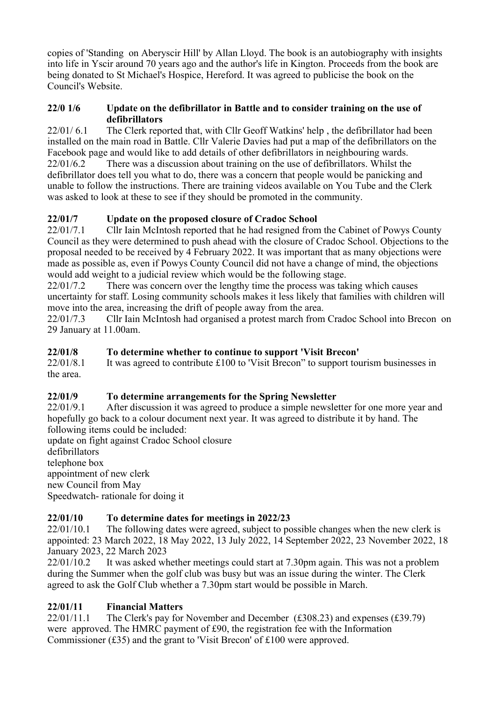copies of 'Standing on Aberyscir Hill' by Allan Lloyd. The book is an autobiography with insights into life in Yscir around 70 years ago and the author's life in Kington. Proceeds from the book are being donated to St Michael's Hospice, Hereford. It was agreed to publicise the book on the Council's Website.

#### **22/0 1/6 Update on the defibrillator in Battle and to consider training on the use of defibrillators**

22/01/ 6.1 The Clerk reported that, with Cllr Geoff Watkins' help , the defibrillator had been installed on the main road in Battle. Cllr Valerie Davies had put a map of the defibrillators on the Facebook page and would like to add details of other defibrillators in neighbouring wards. 22/01/6.2 There was a discussion about training on the use of defibrillators. Whilst the defibrillator does tell you what to do, there was a concern that people would be panicking and unable to follow the instructions. There are training videos available on You Tube and the Clerk was asked to look at these to see if they should be promoted in the community.

# **22/01/7 Update on the proposed closure of Cradoc School**

22/01/7.1 Cllr Iain McIntosh reported that he had resigned from the Cabinet of Powys County Council as they were determined to push ahead with the closure of Cradoc School. Objections to the proposal needed to be received by 4 February 2022. It was important that as many objections were made as possible as, even if Powys County Council did not have a change of mind, the objections would add weight to a judicial review which would be the following stage.

22/01/7.2 There was concern over the lengthy time the process was taking which causes uncertainty for staff. Losing community schools makes it less likely that families with children will move into the area, increasing the drift of people away from the area.

22/01/7.3 Cllr Iain McIntosh had organised a protest march from Cradoc School into Brecon on 29 January at 11.00am.

#### **22/01/8 To determine whether to continue to support 'Visit Brecon'**

22/01/8.1 It was agreed to contribute £100 to 'Visit Brecon' to support tourism businesses in the area.

## **22/01/9 To determine arrangements for the Spring Newsletter**

22/01/9.1 After discussion it was agreed to produce a simple newsletter for one more year and hopefully go back to a colour document next year. It was agreed to distribute it by hand. The following items could be included:

update on fight against Cradoc School closure defibrillators telephone box appointment of new clerk new Council from May Speedwatch- rationale for doing it

## **22/01/10 To determine dates for meetings in 2022/23**

22/01/10.1 The following dates were agreed, subject to possible changes when the new clerk is appointed: 23 March 2022, 18 May 2022, 13 July 2022, 14 September 2022, 23 November 2022, 18 January 2023, 22 March 2023

22/01/10.2 It was asked whether meetings could start at 7.30pm again. This was not a problem during the Summer when the golf club was busy but was an issue during the winter. The Clerk agreed to ask the Golf Club whether a 7.30pm start would be possible in March.

# **22/01/11 Financial Matters**

22/01/11.1 The Clerk's pay for November and December (£308.23) and expenses (£39.79) were approved. The HMRC payment of £90, the registration fee with the Information Commissioner (£35) and the grant to 'Visit Brecon' of £100 were approved.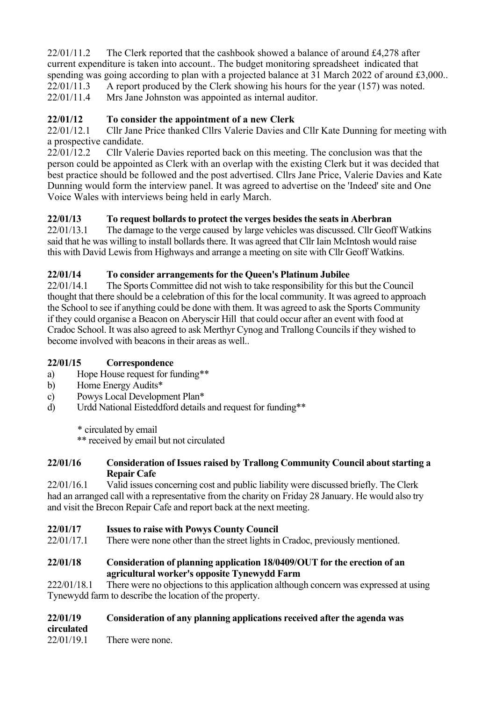$22/01/11.2$  The Clerk reported that the cashbook showed a balance of around £4,278 after current expenditure is taken into account.. The budget monitoring spreadsheet indicated that spending was going according to plan with a projected balance at 31 March 2022 of around £3,000..<br>22/01/11.3 A report produced by the Clerk showing his hours for the year (157) was noted. A report produced by the Clerk showing his hours for the year  $(157)$  was noted. 22/01/11.4 Mrs Jane Johnston was appointed as internal auditor.

# **22/01/12 To consider the appointment of a new Clerk**

22/01/12.1 Cllr Jane Price thanked Cllrs Valerie Davies and Cllr Kate Dunning for meeting with a prospective candidate.

22/01/12.2 Cllr Valerie Davies reported back on this meeting. The conclusion was that the person could be appointed as Clerk with an overlap with the existing Clerk but it was decided that best practice should be followed and the post advertised. Cllrs Jane Price, Valerie Davies and Kate Dunning would form the interview panel. It was agreed to advertise on the 'Indeed' site and One Voice Wales with interviews being held in early March.

## **22/01/13 To request bollards to protect the verges besides the seats in Aberbran**

22/01/13.1 The damage to the verge caused by large vehicles was discussed. Cllr Geoff Watkins said that he was willing to install bollards there. It was agreed that Cllr Iain McIntosh would raise this with David Lewis from Highways and arrange a meeting on site with Cllr Geoff Watkins.

## **22/01/14 To consider arrangements for the Queen's Platinum Jubilee**

22/01/14.1 The Sports Committee did not wish to take responsibility for this but the Council thought that there should be a celebration of this for the local community. It was agreed to approach the School to see if anything could be done with them. It was agreed to ask the Sports Community if they could organise a Beacon on Aberyscir Hill that could occur after an event with food at Cradoc School. It was also agreed to ask Merthyr Cynog and Trallong Councils if they wished to become involved with beacons in their areas as well..

## **22/01/15 Correspondence**

- a) Hope House request for funding\*\*
- b) Home Energy Audits\*
- c) Powys Local Development Plan\*
- d) Urdd National Eisteddford details and request for funding\*\*

\* circulated by email

\*\* received by email but not circulated

#### **22/01/16 Consideration of Issues raised by Trallong Community Council about starting a Repair Cafe**

22/01/16.1 Valid issues concerning cost and public liability were discussed briefly. The Clerk had an arranged call with a representative from the charity on Friday 28 January. He would also try and visit the Brecon Repair Cafe and report back at the next meeting.

## **22/01/17 Issues to raise with Powys County Council**

22/01/17.1 There were none other than the street lights in Cradoc, previously mentioned.

#### **22/01/18 Consideration of planning application 18/0409/OUT for the erection of an agricultural worker's opposite Tynewydd Farm**

222/01/18.1 There were no objections to this application although concern was expressed at using Tynewydd farm to describe the location of the property.

## **22/01/19 Consideration of any planning applications received after the agenda was**

**circulated**

22/01/19.1 There were none.